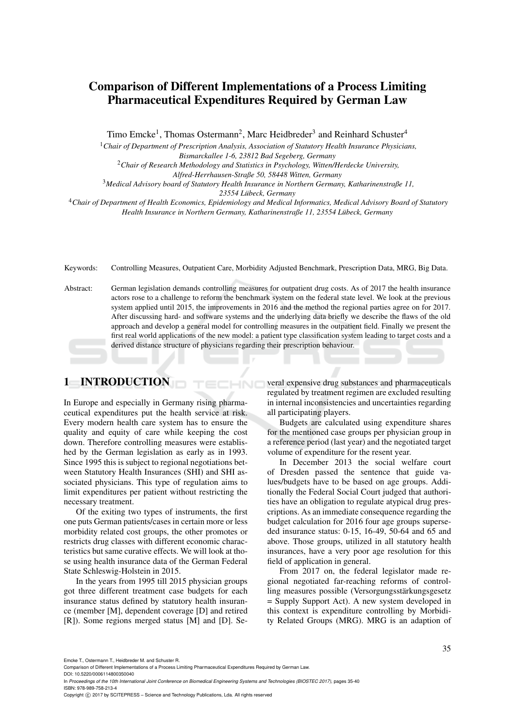# Comparison of Different Implementations of a Process Limiting Pharmaceutical Expenditures Required by German Law

Timo Emcke<sup>1</sup>, Thomas Ostermann<sup>2</sup>, Marc Heidbreder<sup>3</sup> and Reinhard Schuster<sup>4</sup>

<sup>1</sup>*Chair of Department of Prescription Analysis, Association of Statutory Health Insurance Physicians, Bismarckallee 1-6, 23812 Bad Segeberg, Germany*

<sup>2</sup>*Chair of Research Methodology and Statistics in Psychology, Witten/Herdecke University,*

*Alfred-Herrhausen-Straße 50, 58448 Witten, Germany*

<sup>3</sup>*Medical Advisory board of Statutory Health Insurance in Northern Germany, Katharinenstraße 11,*

*23554 Lubeck, Germany ¨*

<sup>4</sup>*Chair of Department of Health Economics, Epidemiology and Medical Informatics, Medical Advisory Board of Statutory Health Insurance in Northern Germany, Katharinenstraße 11, 23554 Lubeck, Germany ¨*

Keywords: Controlling Measures, Outpatient Care, Morbidity Adjusted Benchmark, Prescription Data, MRG, Big Data.

Abstract: German legislation demands controlling measures for outpatient drug costs. As of 2017 the health insurance actors rose to a challenge to reform the benchmark system on the federal state level. We look at the previous system applied until 2015, the improvements in 2016 and the method the regional parties agree on for 2017. After discussing hard- and software systems and the underlying data briefly we describe the flaws of the old approach and develop a general model for controlling measures in the outpatient field. Finally we present the first real world applications of the new model: a patient type classification system leading to target costs and a derived distance structure of physicians regarding their prescription behaviour.

HNC

# 1 INTRODUCTION

In Europe and especially in Germany rising pharmaceutical expenditures put the health service at risk. Every modern health care system has to ensure the quality and equity of care while keeping the cost down. Therefore controlling measures were established by the German legislation as early as in 1993. Since 1995 this is subject to regional negotiations between Statutory Health Insurances (SHI) and SHI associated physicians. This type of regulation aims to limit expenditures per patient without restricting the necessary treatment.

Of the exiting two types of instruments, the first one puts German patients/cases in certain more or less morbidity related cost groups, the other promotes or restricts drug classes with different economic characteristics but same curative effects. We will look at those using health insurance data of the German Federal State Schleswig-Holstein in 2015.

In the years from 1995 till 2015 physician groups got three different treatment case budgets for each insurance status defined by statutory health insurance (member [M], dependent coverage [D] and retired [R]). Some regions merged status [M] and [D]. Several expensive drug substances and pharmaceuticals regulated by treatment regimen are excluded resulting in internal inconsistencies and uncertainties regarding all participating players.

Budgets are calculated using expenditure shares for the mentioned case groups per physician group in a reference period (last year) and the negotiated target volume of expenditure for the resent year.

In December 2013 the social welfare court of Dresden passed the sentence that guide values/budgets have to be based on age groups. Additionally the Federal Social Court judged that authorities have an obligation to regulate atypical drug prescriptions. As an immediate consequence regarding the budget calculation for 2016 four age groups superseded insurance status: 0-15, 16-49, 50-64 and 65 and above. Those groups, utilized in all statutory health insurances, have a very poor age resolution for this field of application in general.

From 2017 on, the federal legislator made regional negotiated far-reaching reforms of controlling measures possible (Versorgungsstärkungsgesetz = Supply Support Act). A new system developed in this context is expenditure controlling by Morbidity Related Groups (MRG). MRG is an adaption of

Emcke T., Ostermann T., Heidbreder M. and Schuster R.

Comparison of Different Implementations of a Process Limiting Pharmaceutical Expenditures Required by German Law. DOI: 10.5220/0006114800350040

In *Proceedings of the 10th International Joint Conference on Biomedical Engineering Systems and Technologies (BIOSTEC 2017)*, pages 35-40 ISBN: 978-989-758-213-4

Copyright © 2017 by SCITEPRESS - Science and Technology Publications, Lda. All rights reserved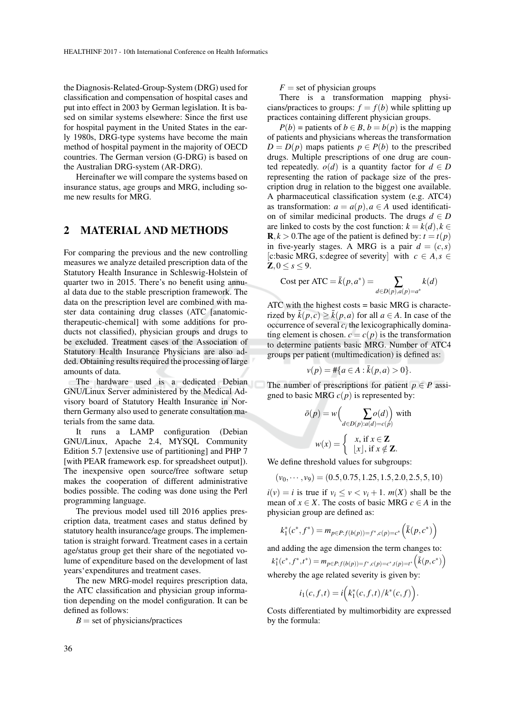the Diagnosis-Related-Group-System (DRG) used for classification and compensation of hospital cases and put into effect in 2003 by German legislation. It is based on similar systems elsewhere: Since the first use for hospital payment in the United States in the early 1980s, DRG-type systems have become the main method of hospital payment in the majority of OECD countries. The German version (G-DRG) is based on the Australian DRG-system (AR-DRG).

Hereinafter we will compare the systems based on insurance status, age groups and MRG, including some new results for MRG.

#### 2 MATERIAL AND METHODS

For comparing the previous and the new controlling measures we analyze detailed prescription data of the Statutory Health Insurance in Schleswig-Holstein of quarter two in 2015. There's no benefit using annual data due to the stable prescription framework. The data on the prescription level are combined with master data containing drug classes (ATC [anatomictherapeutic-chemical] with some additions for products not classified), physician groups and drugs to be excluded. Treatment cases of the Association of Statutory Health Insurance Physicians are also added. Obtaining results required the processing of large amounts of data.

The hardware used is a dedicated Debian GNU/Linux Server administered by the Medical Advisory board of Statutory Health Insurance in Northern Germany also used to generate consultation materials from the same data.

It runs a LAMP configuration (Debian GNU/Linux, Apache 2.4, MYSQL Community Edition 5.7 [extensive use of partitioning] and PHP 7 [with PEAR framework esp. for spreadsheet output]). The inexpensive open source/free software setup makes the cooperation of different administrative bodies possible. The coding was done using the Perl programming language.

The previous model used till 2016 applies prescription data, treatment cases and status defined by statutory health insurance/age groups. The implementation is straight forward. Treatment cases in a certain age/status group get their share of the negotiated volume of expenditure based on the development of last years'expenditures and treatment cases.

The new MRG-model requires prescription data, the ATC classification and physician group information depending on the model configuration. It can be defined as follows:

 $B =$  set of physicians/practices

 $F =$  set of physician groups

There is a transformation mapping physicians/practices to groups:  $f = f(b)$  while splitting up practices containing different physician groups.

*P*(*b*) = patients of *b* ∈ *B*, *b* = *b*(*p*) is the mapping of patients and physicians whereas the transformation  $D = D(p)$  maps patients  $p \in P(b)$  to the prescribed drugs. Multiple prescriptions of one drug are counted repeatedly.  $o(d)$  is a quantity factor for  $d \in D$ representing the ration of package size of the prescription drug in relation to the biggest one available. A pharmaceutical classification system (e.g. ATC4) as transformation:  $a = a(p)$ ,  $a \in A$  used identification of similar medicinal products. The drugs  $d \in D$ are linked to costs by the cost function:  $k = k(d)$ ,  $k \in$  $\mathbf{R}, k > 0$ . The age of the patient is defined by:  $t = t(p)$ in five-yearly stages. A MRG is a pair  $d = (c, s)$ [c:basic MRG, s:degree of severity] with  $c \in A$ ,  $s \in$  $\mathbb{Z}, 0 \leq s \leq 9.$ 

Cost per ATC = 
$$
\bar{k}(p, a^*)
$$
 = 
$$
\sum_{d \in D(p), a(p) = a^*} k(d)
$$

ATC with the highest costs = basic MRG is characterized by  $\bar{k}(p, c) > \bar{k}(p, a)$  for all  $a \in A$ . In case of the occurrence of several  $c_i$  the lexicographically dominating element is chosen.  $c = c(p)$  is the transformation to determine patients basic MRG. Number of ATC4 groups per patient (multimedication) is defined as:

$$
v(p) = #\{a \in A : \bar{k}(p, a) > 0\}.
$$

The number of prescriptions for patient  $p \in P$  assigned to basic MRG  $c(p)$  is represented by:

$$
\bar{o}(p) = w \Big( \sum_{d \in D(p): a(d) = c(p)} o(d) \Big) \text{ with}
$$

$$
w(x) = \begin{cases} x, \text{ if } x \in \mathbb{Z} \\ |x|, \text{ if } x \notin \mathbb{Z}. \end{cases}
$$

We define threshold values for subgroups:

 $(v_0, \dots, v_9) = (0.5, 0.75, 1.25, 1.5, 2.0, 2.5, 5, 10)$ 

 $i(v) = i$  is true if  $v_i \le v \le v_i + 1$ .  $m(X)$  shall be the mean of  $x \in X$ . The costs of basic MRG  $c \in A$  in the physician group are defined as:

$$
k_1^*(c^*, f^*) = m_{p \in P: f(b(p)) = f^*, c(p) = c^*} \Bigl( \bar{k}(p, c^*) \Bigr)
$$

and adding the age dimension the term changes to:

$$
k_1^*(c^*,f^*,t^*) = m_{p \in P : f(b(p)) = f^*, c(p) = c^*, t(p) = t^*} \left(\bar{k}(p,c^*)\right)
$$

whereby the age related severity is given by:

$$
i_1(c, f, t) = i\Big(k_1^*(c, f, t)/k^*(c, f)\Big)
$$

.

Costs differentiated by multimorbidity are expressed by the formula: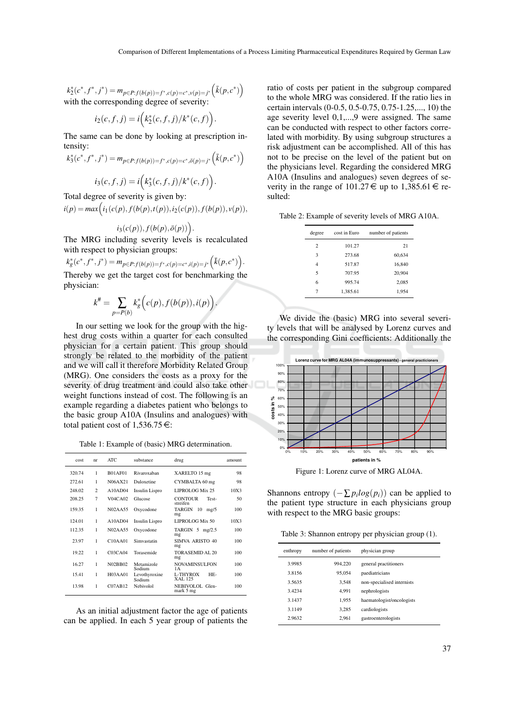$k_2^*(c^*, f^*, j^*) = m_{p \in P : f(b(p)) = f^*, c(p) = c^*, v(p) = j^*} (\bar{k}(p, c^*))$ with the corresponding degree of severity:

$$
i_2(c, f, j) = i(k_2^*(c, f, j)/k^*(c, f)).
$$

The same can be done by looking at prescription intensity:

$$
k_3^*(c^*, f^*, j^*) = m_{p \in P: f(b(p)) = f^*, c(p) = c^*, \bar{o}(p) = j^*} (\bar{k}(p, c^*))
$$

$$
i_3(c, f, j) = i(k_3^*(c, f, j)/k^*(c, f)).
$$

Total degree of severity is given by:

 $i(p) = max(i_1(c(p), f(b(p), t(p)), i_2(c(p)), f(b(p)), v(p)),$ 

$$
i_3(c(p)), f(b(p),\bar{o}(p))\Big).
$$

The MRG including severity levels is recalculated with respect to physician groups:

$$
k_g^*(c^*, f^*, j^*) = m_{p \in P: f(b(p)) = f^*, c(p) = c^*, i(p) = j^*}(\bar{k}(p, c^*))
$$
.  
Therefore, we get the target cost for benchmarking the

Thereby we get the target cost for benchmarking the physician:

$$
k^\# = \sum_{p=P(b)} k_g^*\Bigl(c(p),f(b(p)),i(p)\Bigr).
$$

In our setting we look for the group with the highest drug costs within a quarter for each consulted physician for a certain patient. This group should strongly be related to the morbidity of the patient and we will call it therefore Morbidity Related Group (MRG). One considers the costs as a proxy for the severity of drug treatment and could also take other weight functions instead of cost. The following is an example regarding a diabetes patient who belongs to the basic group A10A (Insulins and analogues) with total patient cost of  $1,536.75 \in$ :

Table 1: Example of (basic) MRG determination.

| cost   | nr             | ATC.                 | substance               | drug                                | amount |
|--------|----------------|----------------------|-------------------------|-------------------------------------|--------|
| 320.74 | 1              | <b>B01AF01</b>       | Rivaroxaban             | XARELTO 15 mg                       | 98     |
| 272.61 | 1              | N06AX21              | Duloxetine              | CYMBALTA 60 mg                      | 98     |
| 248.02 | $\overline{c}$ | A10AD04              | Insulin Lispro          | LIPROLOG Mix 25                     | 10X3   |
| 208.25 | 7              | V04CA02              | Glucose                 | <b>CONTOUR</b><br>Test-<br>streifen | 50     |
| 159.35 | 1              | <b>N02AA55</b>       | Oxycodone               | TARGIN<br>10<br>mg/5<br>mg          | 100    |
| 124.01 | 1              | A10AD04              | Insulin Lispro          | LIPROLOG Mix 50                     | 10X3   |
| 112.35 | 1              | <b>N02AA55</b>       | Oxycodone               | TARGIN $5$ mg/2.5<br>mg             | 100    |
| 23.97  | 1              | $C10A$ A01           | Simvastatin             | SIMVA ARISTO 40<br>mg               | 100    |
| 19.22  | 1              | C03CA04              | Torasemide              | TORASEMID AL 20<br>mg               | 100    |
| 16.27  | 1              | N02BB02              | Metamizole<br>Sodium    | <b>NOVAMINSULFON</b><br>1А          | 100    |
| 15.41  | 1              | H03AA01              | Levothyroxine<br>Sodium | L-THYROX<br>HE-<br>XAL 125          | 100    |
| 13.98  | 1              | C <sub>07</sub> AB12 | Nebivolol               | NEBIVOLOL Glen-<br>mark 5 mg        | 100    |

As an initial adjustment factor the age of patients can be applied. In each 5 year group of patients the ratio of costs per patient in the subgroup compared to the whole MRG was considered. If the ratio lies in certain intervals (0-0.5, 0.5-0.75, 0.75-1.25,..., 10) the age severity level 0,1,...,9 were assigned. The same can be conducted with respect to other factors correlated with morbidity. By using subgroup structures a risk adjustment can be accomplished. All of this has not to be precise on the level of the patient but on the physicians level. Regarding the considered MRG A10A (Insulins and analogues) seven degrees of severity in the range of  $101.27 \in \text{up to } 1.385.61 \in \text{re-}$ sulted:

Table 2: Example of severity levels of MRG A10A.

| degree         | cost in Euro | number of patients |
|----------------|--------------|--------------------|
| $\overline{c}$ | 101.27       | 21                 |
| 3              | 273.68       | 60,634             |
| 4              | 517.87       | 16.840             |
| 5              | 707.95       | 20,904             |
| 6              | 995.74       | 2,085              |
| 7              | 1.385.61     | 1,954              |
|                |              |                    |

We divide the (basic) MRG into several severity levels that will be analysed by Lorenz curves and the corresponding Gini coefficients: Additionally the



Figure 1: Lorenz curve of MRG AL04A.

Shannons entropy  $(-\sum p_i log(p_i))$  can be applied to the patient type structure in each physicians group with respect to the MRG basic groups:

Table 3: Shannon entropy per physician group (1).

| enthropy | number of patients | physician group            |
|----------|--------------------|----------------------------|
| 3.9985   | 994.220            | general practitioners      |
| 3.8156   | 95,054             | paediatricians             |
| 3.5635   | 3.548              | non-specialised internists |
| 3.4234   | 4.991              | nephrologists              |
| 3.1437   | 1.955              | haematologist/oncologists  |
| 3.1149   | 3.285              | cardiologists              |
| 2.9632   | 2.961              | gastroenterologists        |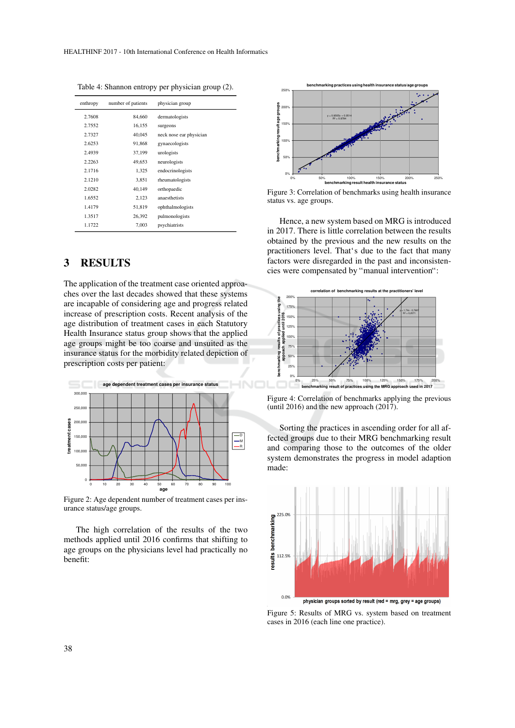| enthropy | number of patients | physician group         |
|----------|--------------------|-------------------------|
| 2.7608   | 84.660             | dermatologists          |
| 2.7552   | 16,155             | surgeons                |
| 2.7327   | 40.045             | neck nose ear physician |
| 2.6253   | 91,868             | gynaecologists          |
| 2.4939   | 37.199             | urologists              |
| 2.2263   | 49.653             | neurologists            |
| 2.1716   | 1,325              | endocrinologists        |
| 2.1210   | 3.851              | rheumatologists         |
| 2.0282   | 40.149             | orthopaedic             |
| 1.6552   | 2,123              | anaesthetists           |
| 1.4179   | 51,819             | ophthalmologists        |
| 1.3517   | 26,392             | pulmonologists          |
| 1.1722   | 7,003              | psychiatrists           |

Table 4: Shannon entropy per physician group (2).

## 3 RESULTS

The application of the treatment case oriented approaches over the last decades showed that these systems are incapable of considering age and progress related increase of prescription costs. Recent analysis of the age distribution of treatment cases in each Statutory Health Insurance status group shows that the applied age groups might be too coarse and unsuited as the insurance status for the morbidity related depiction of prescription costs per patient:



Figure 2: Age dependent number of treatment cases per insurance status/age groups.

The high correlation of the results of the two methods applied until 2016 confirms that shifting to age groups on the physicians level had practically no benefit:



Figure 3: Correlation of benchmarks using health insurance status vs. age groups.

Hence, a new system based on MRG is introduced in 2017. There is little correlation between the results obtained by the previous and the new results on the practitioners level. That's due to the fact that many factors were disregarded in the past and inconsistencies were compensated by "manual intervention":



Figure 4: Correlation of benchmarks applying the previous (until 2016) and the new approach (2017).

Sorting the practices in ascending order for all affected groups due to their MRG benchmarking result and comparing those to the outcomes of the older system demonstrates the progress in model adaption made:



Figure 5: Results of MRG vs. system based on treatment cases in 2016 (each line one practice).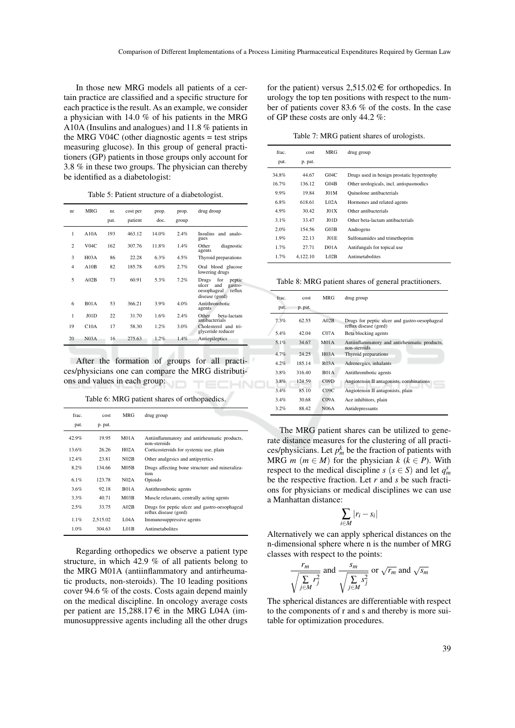In those new MRG models all patients of a certain practice are classified and a specific structure for each practice is the result. As an example, we consider a physician with 14.0 % of his patients in the MRG A10A (Insulins and analogues) and 11.8 % patients in the MRG V04C (other diagnostic agents = test strips measuring glucose). In this group of general practitioners (GP) patients in those groups only account for 3.8 % in these two groups. The physician can thereby be identified as a diabetologist:

Table 5: Patient structure of a diabetologist.

| nr             | <b>MRG</b>        | nr.<br>pat. | cost per<br>patient | prop.<br>doc. | prop.<br>group | drug droup                                                                                   |
|----------------|-------------------|-------------|---------------------|---------------|----------------|----------------------------------------------------------------------------------------------|
|                |                   |             |                     |               |                |                                                                                              |
| 1              | A10A              | 193         | 463.12              | 14.0%         | 2.4%           | Insulins and analo-<br>gues                                                                  |
| $\overline{c}$ | V04C              | 162         | 307.76              | 11.8%         | 1.4%           | Other<br>diagnostic<br>agents                                                                |
| 3              | H <sub>0</sub> 3A | 86          | 22.28               | 6.3%          | 4.5%           | Thyroid preparations                                                                         |
| $\overline{4}$ | A10B              | 82          | 185.78              | 6.0%          | 2.7%           | Oral blood glucose<br>lowering drugs                                                         |
| 5              | A02B              | 73          | 60.91               | 5.3%          | 7.2%           | for<br>Drugs<br>peptic<br>and<br>ulcer<br>gastro-<br>reflux<br>oesophageal<br>disease (gord) |
| 6              | B01A              | 53          | 366.21              | 3.9%          | 4.0%           | Antithrombotic<br>agents                                                                     |
| 1              | JO1D              | 22          | 31.70               | 1.6%          | 2.4%           | Other<br>beta-lactam<br>antibacterials                                                       |
| 19             | C10A              | 17          | 58.30               | 1.2%          | 3.0%           | Cholesterol and tri-<br>glyceride reducer                                                    |
| 20             | N <sub>03A</sub>  | 16          | 275.63              | 1.2%          | 1.4%           | Antiepileptics                                                                               |

After the formation of groups for all practices/physicians one can compare the MRG distributions and values in each group:

| Table 6: MRG patient shares of orthopaedics. |  |  |  |  |  |
|----------------------------------------------|--|--|--|--|--|
|----------------------------------------------|--|--|--|--|--|

| frac  | cost     | MRG               | drug group                                                             |
|-------|----------|-------------------|------------------------------------------------------------------------|
| pat.  | p. pat.  |                   |                                                                        |
| 42.9% | 19.95    | M <sub>01</sub> A | Antiinflammatory and antirheumatic products,<br>non-steroids           |
| 13.6% | 26.26    | H <sub>02A</sub>  | Corticosteroids for systemic use, plain                                |
| 12.4% | 23.81    | N02B              | Other analgesics and antipyretics                                      |
| 8.2%  | 134.66   | M05B              | Drugs affecting bone structure and mineraliza-<br>tion.                |
| 6.1%  | 123.78   | N <sub>02A</sub>  | Opioids                                                                |
| 3.6%  | 92.18    | <b>B01A</b>       | Antithrombotic agents                                                  |
| 3.3%  | 40.71    | M <sub>03B</sub>  | Muscle relaxants, centrally acting agents                              |
| 2.5%  | 33.75    | A02B              | Drugs for peptic ulcer and gastro-oesophageal<br>reflux disease (gord) |
| 1.1%  | 2.515.02 | L <sub>04A</sub>  | Immunosuppressive agents                                               |
| 1.0%  | 304.63   | <b>L01B</b>       | Antimetabolites                                                        |

Regarding orthopedics we observe a patient type structure, in which 42.9 % of all patients belong to the MRG M01A (antiinflammatory and antirheumatic products, non-steroids). The 10 leading positions cover 94.6 % of the costs. Costs again depend mainly on the medical discipline. In oncology average costs per patient are  $15,288.17 \in \text{in}$  the MRG L04A (immunosuppressive agents including all the other drugs

for the patient) versus  $2,515.02 \in$  for orthopedics. In urology the top ten positions with respect to the number of patients cover 83.6 % of the costs. In the case of GP these costs are only 44.2 %:

Table 7: MRG patient shares of urologists.

| frac. | cost     | MRG               | drug group                                 |
|-------|----------|-------------------|--------------------------------------------|
| pat.  | p. pat.  |                   |                                            |
| 34.8% | 44.67    | G04C              | Drugs used in benign prostatic hypertrophy |
| 16.7% | 136.12   | G <sub>04B</sub>  | Other urologicals, incl. antispasmodics    |
| 9.9%  | 19.84    | <b>J01M</b>       | Ouinolone antibacterials                   |
| 6.8%  | 618.61   | 1.02A             | Hormones and related agents                |
| 4.9%  | 30.42    | J01X              | Other antibacterials                       |
| 3.1%  | 33.47    | JO1D              | Other beta-lactam antibacterials           |
| 2.0%  | 154.56   | G03B              | Androgens                                  |
| 1.9%  | 22.13    | JO1E              | Sulfonamides and trimethoprim              |
| 1.7%  | 27.71    | D <sub>01</sub> A | Antifungals for topical use                |
| 1.7%  | 4.122.10 | <b>L02B</b>       | Antimetabolites                            |

Table 8: MRG patient shares of general practitioners.

| frac. | cost    | MRG               | drug group                                                             |
|-------|---------|-------------------|------------------------------------------------------------------------|
| pat.  | p. pat. |                   |                                                                        |
| 7.3%  | 62.55   | A02B              | Drugs for peptic ulcer and gastro-oesophageal<br>reflux disease (gord) |
| 5.4%  | 42.04   | C <sub>07A</sub>  | Beta blocking agents                                                   |
| 5.1%  | 34.67   | M <sub>01A</sub>  | Antiinflammatory and antirheumatic products,<br>non-steroids           |
| 4.7%  | 24.25   | H <sub>0</sub> 3A | Thyroid preparations                                                   |
| 4.2%  | 185.14  | R03A              | Adrenergics, inhalants                                                 |
| 3.8%  | 316.40  | <b>B01A</b>       | Antithrombotic agents                                                  |
| 3.8%  | 124.59  | C <sub>09D</sub>  | Angiotensin II antagonists, combinations                               |
| 3.4%  | 85.10   | C09C              | Angiotensin II antagonists, plain                                      |
| 3.4%  | 30.68   | C <sub>0</sub> 9A | Ace inhibitors, plain                                                  |
| 3.2%  | 88.42   | N <sub>06</sub> A | Antidepressants                                                        |

The MRG patient shares can be utilized to generate distance measures for the clustering of all practices/physicians. Let  $p_m^k$  be the fraction of patients with MRG *m* ( $m \in M$ ) for the physician  $k$  ( $k \in P$ ). With respect to the medical discipline *s* ( $s \in S$ ) and let  $q_m^s$ be the respective fraction. Let *r* and *s* be such fractions for physicians or medical disciplines we can use a Manhattan distance:

$$
\sum_{i\in M}|r_i-s_i|
$$

Alternatively we can apply spherical distances on the n-dimensional sphere where n is the number of MRG classes with respect to the points:

$$
\frac{r_m}{\sqrt{\sum_{j\in M}r_j^2}}
$$
 and 
$$
\frac{s_m}{\sqrt{\sum_{j\in M}s_j^2}}
$$
 or  $\sqrt{r_m}$  and  $\sqrt{s_m}$ 

The spherical distances are differentiable with respect to the components of r and s and thereby is more suitable for optimization procedures.